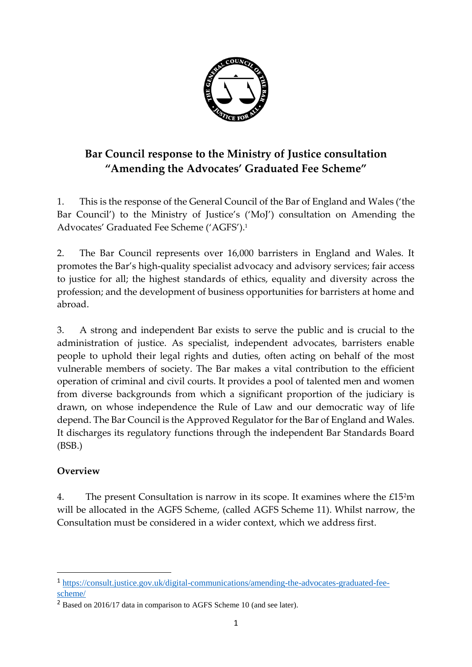

# **Bar Council response to the Ministry of Justice consultation "Amending the Advocates' Graduated Fee Scheme"**

1. This is the response of the General Council of the Bar of England and Wales ('the Bar Council') to the Ministry of Justice's ('MoJ') consultation on Amending the Advocates' Graduated Fee Scheme ('AGFS').<sup>1</sup>

2. The Bar Council represents over 16,000 barristers in England and Wales. It promotes the Bar's high-quality specialist advocacy and advisory services; fair access to justice for all; the highest standards of ethics, equality and diversity across the profession; and the development of business opportunities for barristers at home and abroad.

3. A strong and independent Bar exists to serve the public and is crucial to the administration of justice. As specialist, independent advocates, barristers enable people to uphold their legal rights and duties, often acting on behalf of the most vulnerable members of society. The Bar makes a vital contribution to the efficient operation of criminal and civil courts. It provides a pool of talented men and women from diverse backgrounds from which a significant proportion of the judiciary is drawn, on whose independence the Rule of Law and our democratic way of life depend. The Bar Council is the Approved Regulator for the Bar of England and Wales. It discharges its regulatory functions through the independent Bar Standards Board (BSB.)

# **Overview**

**.** 

4. The present Consultation is narrow in its scope. It examines where the £15<sup>2</sup>m will be allocated in the AGFS Scheme, (called AGFS Scheme 11). Whilst narrow, the Consultation must be considered in a wider context, which we address first.

<sup>1</sup> [https://consult.justice.gov.uk/digital-communications/amending-the-advocates-graduated-fee](https://consult.justice.gov.uk/digital-communications/amending-the-advocates-graduated-fee-scheme/)[scheme/](https://consult.justice.gov.uk/digital-communications/amending-the-advocates-graduated-fee-scheme/)

<sup>&</sup>lt;sup>2</sup> Based on 2016/17 data in comparison to AGFS Scheme 10 (and see later).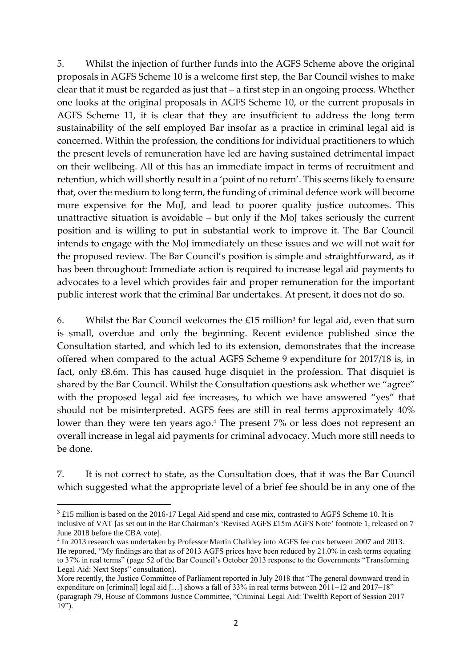5. Whilst the injection of further funds into the AGFS Scheme above the original proposals in AGFS Scheme 10 is a welcome first step, the Bar Council wishes to make clear that it must be regarded as just that – a first step in an ongoing process. Whether one looks at the original proposals in AGFS Scheme 10, or the current proposals in AGFS Scheme 11, it is clear that they are insufficient to address the long term sustainability of the self employed Bar insofar as a practice in criminal legal aid is concerned. Within the profession, the conditions for individual practitioners to which the present levels of remuneration have led are having sustained detrimental impact on their wellbeing. All of this has an immediate impact in terms of recruitment and retention, which will shortly result in a 'point of no return'. This seems likely to ensure that, over the medium to long term, the funding of criminal defence work will become more expensive for the MoJ, and lead to poorer quality justice outcomes. This unattractive situation is avoidable – but only if the MoJ takes seriously the current position and is willing to put in substantial work to improve it. The Bar Council intends to engage with the MoJ immediately on these issues and we will not wait for the proposed review. The Bar Council's position is simple and straightforward, as it has been throughout: Immediate action is required to increase legal aid payments to advocates to a level which provides fair and proper remuneration for the important public interest work that the criminal Bar undertakes. At present, it does not do so.

6. Whilst the Bar Council welcomes the  $£15$  million<sup>3</sup> for legal aid, even that sum is small, overdue and only the beginning. Recent evidence published since the Consultation started, and which led to its extension, demonstrates that the increase offered when compared to the actual AGFS Scheme 9 expenditure for 2017/18 is, in fact, only £8.6m. This has caused huge disquiet in the profession. That disquiet is shared by the Bar Council. Whilst the Consultation questions ask whether we "agree" with the proposed legal aid fee increases, to which we have answered "yes" that should not be misinterpreted. AGFS fees are still in real terms approximately 40% lower than they were ten years ago. <sup>4</sup> The present 7% or less does not represent an overall increase in legal aid payments for criminal advocacy. Much more still needs to be done.

7. It is not correct to state, as the Consultation does, that it was the Bar Council which suggested what the appropriate level of a brief fee should be in any one of the

**.** 

 $3 \text{ £15}$  million is based on the 2016-17 Legal Aid spend and case mix, contrasted to AGFS Scheme 10. It is inclusive of VAT [as set out in the Bar Chairman's 'Revised AGFS £15m AGFS Note' footnote 1, released on 7 June 2018 before the CBA vote].

<sup>4</sup> In 2013 research was undertaken by Professor Martin Chalkley into AGFS fee cuts between 2007 and 2013. He reported, "My findings are that as of 2013 AGFS prices have been reduced by 21.0% in cash terms equating to 37% in real terms" (page 52 of the Bar Council's October 2013 response to the Governments "Transforming Legal Aid: Next Steps" consultation).

More recently, the Justice Committee of Parliament reported in July 2018 that "The general downward trend in expenditure on [criminal] legal aid […] shows a fall of 33% in real terms between 2011–12 and 2017–18" (paragraph 79, House of Commons Justice Committee, "Criminal Legal Aid: Twelfth Report of Session 2017–  $19"$ ).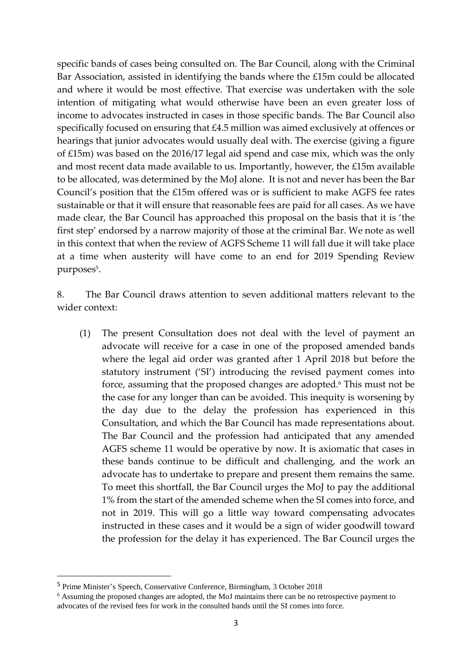specific bands of cases being consulted on. The Bar Council, along with the Criminal Bar Association, assisted in identifying the bands where the £15m could be allocated and where it would be most effective. That exercise was undertaken with the sole intention of mitigating what would otherwise have been an even greater loss of income to advocates instructed in cases in those specific bands. The Bar Council also specifically focused on ensuring that £4.5 million was aimed exclusively at offences or hearings that junior advocates would usually deal with. The exercise (giving a figure of £15m) was based on the 2016/17 legal aid spend and case mix, which was the only and most recent data made available to us. Importantly, however, the £15m available to be allocated, was determined by the MoJ alone. It is not and never has been the Bar Council's position that the £15m offered was or is sufficient to make AGFS fee rates sustainable or that it will ensure that reasonable fees are paid for all cases. As we have made clear, the Bar Council has approached this proposal on the basis that it is 'the first step' endorsed by a narrow majority of those at the criminal Bar. We note as well in this context that when the review of AGFS Scheme 11 will fall due it will take place at a time when austerity will have come to an end for 2019 Spending Review purposes<sup>5</sup>.

8. The Bar Council draws attention to seven additional matters relevant to the wider context:

(1) The present Consultation does not deal with the level of payment an advocate will receive for a case in one of the proposed amended bands where the legal aid order was granted after 1 April 2018 but before the statutory instrument ('SI') introducing the revised payment comes into force, assuming that the proposed changes are adopted. <sup>6</sup> This must not be the case for any longer than can be avoided. This inequity is worsening by the day due to the delay the profession has experienced in this Consultation, and which the Bar Council has made representations about. The Bar Council and the profession had anticipated that any amended AGFS scheme 11 would be operative by now. It is axiomatic that cases in these bands continue to be difficult and challenging, and the work an advocate has to undertake to prepare and present them remains the same. To meet this shortfall, the Bar Council urges the MoJ to pay the additional 1% from the start of the amended scheme when the SI comes into force, and not in 2019. This will go a little way toward compensating advocates instructed in these cases and it would be a sign of wider goodwill toward the profession for the delay it has experienced. The Bar Council urges the

<sup>5</sup> Prime Minister's Speech, Conservative Conference, Birmingham, 3 October 2018

<sup>6</sup> Assuming the proposed changes are adopted, the MoJ maintains there can be no retrospective payment to advocates of the revised fees for work in the consulted bands until the SI comes into force.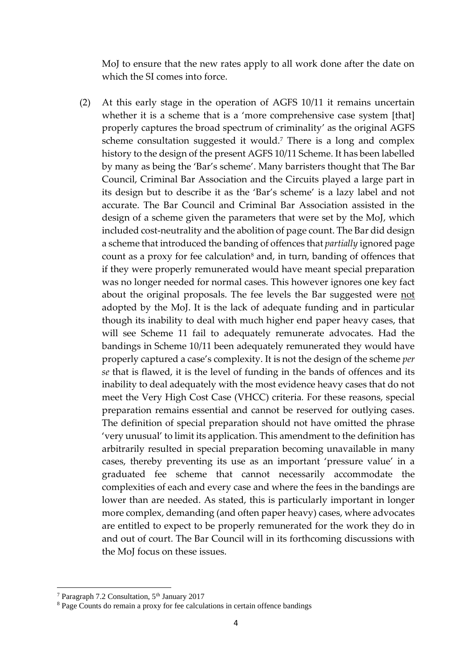MoJ to ensure that the new rates apply to all work done after the date on which the SI comes into force.

(2) At this early stage in the operation of AGFS 10/11 it remains uncertain whether it is a scheme that is a 'more comprehensive case system [that] properly captures the broad spectrum of criminality' as the original AGFS scheme consultation suggested it would. <sup>7</sup> There is a long and complex history to the design of the present AGFS 10/11 Scheme. It has been labelled by many as being the 'Bar's scheme'. Many barristers thought that The Bar Council, Criminal Bar Association and the Circuits played a large part in its design but to describe it as the 'Bar's scheme' is a lazy label and not accurate. The Bar Council and Criminal Bar Association assisted in the design of a scheme given the parameters that were set by the MoJ, which included cost-neutrality and the abolition of page count. The Bar did design a scheme that introduced the banding of offences that *partially* ignored page count as a proxy for fee calculation<sup>8</sup> and, in turn, banding of offences that if they were properly remunerated would have meant special preparation was no longer needed for normal cases. This however ignores one key fact about the original proposals. The fee levels the Bar suggested were not adopted by the MoJ. It is the lack of adequate funding and in particular though its inability to deal with much higher end paper heavy cases, that will see Scheme 11 fail to adequately remunerate advocates. Had the bandings in Scheme 10/11 been adequately remunerated they would have properly captured a case's complexity. It is not the design of the scheme *per se* that is flawed, it is the level of funding in the bands of offences and its inability to deal adequately with the most evidence heavy cases that do not meet the Very High Cost Case (VHCC) criteria*.* For these reasons, special preparation remains essential and cannot be reserved for outlying cases. The definition of special preparation should not have omitted the phrase 'very unusual' to limit its application. This amendment to the definition has arbitrarily resulted in special preparation becoming unavailable in many cases, thereby preventing its use as an important 'pressure value' in a graduated fee scheme that cannot necessarily accommodate the complexities of each and every case and where the fees in the bandings are lower than are needed. As stated, this is particularly important in longer more complex, demanding (and often paper heavy) cases, where advocates are entitled to expect to be properly remunerated for the work they do in and out of court. The Bar Council will in its forthcoming discussions with the MoJ focus on these issues.

<sup>&</sup>lt;sup>7</sup> Paragraph 7.2 Consultation, 5<sup>th</sup> January 2017

<sup>8</sup> Page Counts do remain a proxy for fee calculations in certain offence bandings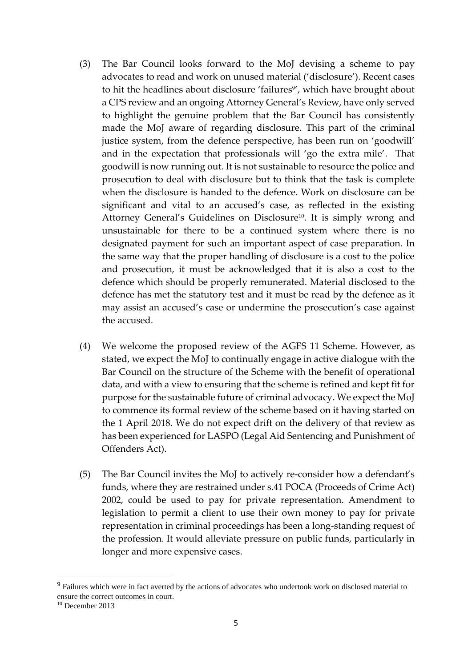- (3) The Bar Council looks forward to the MoJ devising a scheme to pay advocates to read and work on unused material ('disclosure'). Recent cases to hit the headlines about disclosure 'failures<sup>9</sup>', which have brought about a CPS review and an ongoing Attorney General's Review, have only served to highlight the genuine problem that the Bar Council has consistently made the MoJ aware of regarding disclosure. This part of the criminal justice system, from the defence perspective, has been run on 'goodwill' and in the expectation that professionals will 'go the extra mile'. That goodwill is now running out. It is not sustainable to resource the police and prosecution to deal with disclosure but to think that the task is complete when the disclosure is handed to the defence. Work on disclosure can be significant and vital to an accused's case, as reflected in the existing Attorney General's Guidelines on Disclosure<sup>10</sup>. It is simply wrong and unsustainable for there to be a continued system where there is no designated payment for such an important aspect of case preparation. In the same way that the proper handling of disclosure is a cost to the police and prosecution, it must be acknowledged that it is also a cost to the defence which should be properly remunerated. Material disclosed to the defence has met the statutory test and it must be read by the defence as it may assist an accused's case or undermine the prosecution's case against the accused.
- (4) We welcome the proposed review of the AGFS 11 Scheme. However, as stated, we expect the MoJ to continually engage in active dialogue with the Bar Council on the structure of the Scheme with the benefit of operational data, and with a view to ensuring that the scheme is refined and kept fit for purpose for the sustainable future of criminal advocacy. We expect the MoJ to commence its formal review of the scheme based on it having started on the 1 April 2018. We do not expect drift on the delivery of that review as has been experienced for LASPO (Legal Aid Sentencing and Punishment of Offenders Act).
- (5) The Bar Council invites the MoJ to actively re-consider how a defendant's funds, where they are restrained under s.41 POCA (Proceeds of Crime Act) 2002, could be used to pay for private representation. Amendment to legislation to permit a client to use their own money to pay for private representation in criminal proceedings has been a long-standing request of the profession. It would alleviate pressure on public funds, particularly in longer and more expensive cases.

<sup>&</sup>lt;sup>9</sup> Failures which were in fact averted by the actions of advocates who undertook work on disclosed material to ensure the correct outcomes in court.

<sup>&</sup>lt;sup>10</sup> December 2013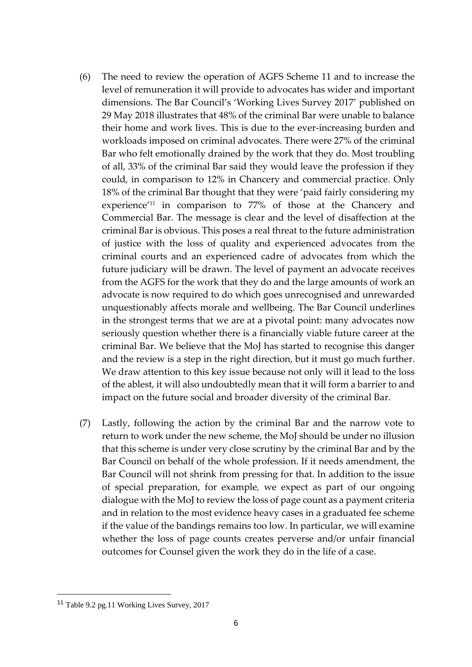- (6) The need to review the operation of AGFS Scheme 11 and to increase the level of remuneration it will provide to advocates has wider and important dimensions. The Bar Council's 'Working Lives Survey 2017' published on 29 May 2018 illustrates that 48% of the criminal Bar were unable to balance their home and work lives. This is due to the ever-increasing burden and workloads imposed on criminal advocates. There were 27% of the criminal Bar who felt emotionally drained by the work that they do. Most troubling of all, 33% of the criminal Bar said they would leave the profession if they could, in comparison to 12% in Chancery and commercial practice. Only 18% of the criminal Bar thought that they were 'paid fairly considering my experience'<sup>11</sup> in comparison to 77% of those at the Chancery and Commercial Bar. The message is clear and the level of disaffection at the criminal Bar is obvious. This poses a real threat to the future administration of justice with the loss of quality and experienced advocates from the criminal courts and an experienced cadre of advocates from which the future judiciary will be drawn. The level of payment an advocate receives from the AGFS for the work that they do and the large amounts of work an advocate is now required to do which goes unrecognised and unrewarded unquestionably affects morale and wellbeing. The Bar Council underlines in the strongest terms that we are at a pivotal point: many advocates now seriously question whether there is a financially viable future career at the criminal Bar. We believe that the MoJ has started to recognise this danger and the review is a step in the right direction, but it must go much further. We draw attention to this key issue because not only will it lead to the loss of the ablest, it will also undoubtedly mean that it will form a barrier to and impact on the future social and broader diversity of the criminal Bar.
- (7) Lastly, following the action by the criminal Bar and the narrow vote to return to work under the new scheme, the MoJ should be under no illusion that this scheme is under very close scrutiny by the criminal Bar and by the Bar Council on behalf of the whole profession. If it needs amendment, the Bar Council will not shrink from pressing for that. In addition to the issue of special preparation, for example*,* we expect as part of our ongoing dialogue with the MoJ to review the loss of page count as a payment criteria and in relation to the most evidence heavy cases in a graduated fee scheme if the value of the bandings remains too low. In particular, we will examine whether the loss of page counts creates perverse and/or unfair financial outcomes for Counsel given the work they do in the life of a case.

**.** 

<sup>11</sup> Table 9.2 pg.11 Working Lives Survey, 2017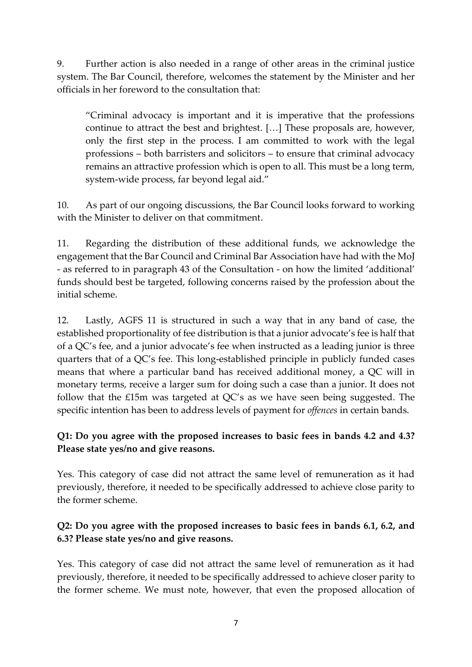9. Further action is also needed in a range of other areas in the criminal justice system. The Bar Council, therefore, welcomes the statement by the Minister and her officials in her foreword to the consultation that:

"Criminal advocacy is important and it is imperative that the professions continue to attract the best and brightest. […] These proposals are, however, only the first step in the process. I am committed to work with the legal professions – both barristers and solicitors – to ensure that criminal advocacy remains an attractive profession which is open to all. This must be a long term, system-wide process, far beyond legal aid."

10. As part of our ongoing discussions, the Bar Council looks forward to working with the Minister to deliver on that commitment.

11. Regarding the distribution of these additional funds, we acknowledge the engagement that the Bar Council and Criminal Bar Association have had with the MoJ - as referred to in paragraph 43 of the Consultation - on how the limited 'additional' funds should best be targeted, following concerns raised by the profession about the initial scheme.

12. Lastly, AGFS 11 is structured in such a way that in any band of case, the established proportionality of fee distribution is that a junior advocate's fee is half that of a QC's fee, and a junior advocate's fee when instructed as a leading junior is three quarters that of a QC's fee. This long-established principle in publicly funded cases means that where a particular band has received additional money, a QC will in monetary terms, receive a larger sum for doing such a case than a junior. It does not follow that the £15m was targeted at QC's as we have seen being suggested. The specific intention has been to address levels of payment for *offences* in certain bands.

# **Q1: Do you agree with the proposed increases to basic fees in bands 4.2 and 4.3? Please state yes/no and give reasons.**

Yes. This category of case did not attract the same level of remuneration as it had previously, therefore, it needed to be specifically addressed to achieve close parity to the former scheme.

# **Q2: Do you agree with the proposed increases to basic fees in bands 6.1, 6.2, and 6.3? Please state yes/no and give reasons.**

Yes. This category of case did not attract the same level of remuneration as it had previously, therefore, it needed to be specifically addressed to achieve closer parity to the former scheme. We must note, however, that even the proposed allocation of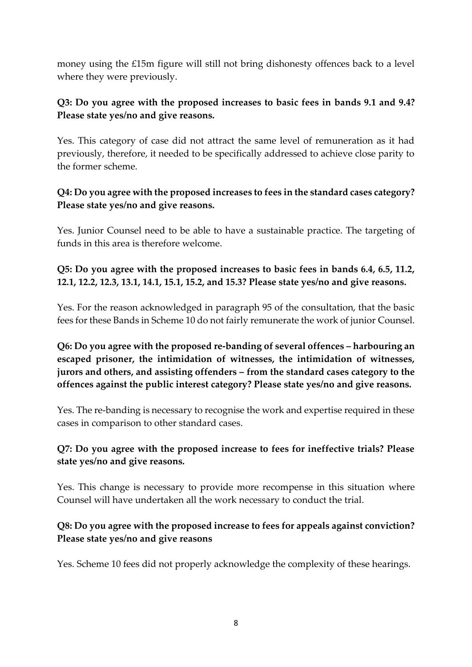money using the £15m figure will still not bring dishonesty offences back to a level where they were previously.

#### **Q3: Do you agree with the proposed increases to basic fees in bands 9.1 and 9.4? Please state yes/no and give reasons.**

Yes. This category of case did not attract the same level of remuneration as it had previously, therefore, it needed to be specifically addressed to achieve close parity to the former scheme.

#### **Q4: Do you agree with the proposed increases to fees in the standard cases category? Please state yes/no and give reasons.**

Yes. Junior Counsel need to be able to have a sustainable practice. The targeting of funds in this area is therefore welcome.

### **Q5: Do you agree with the proposed increases to basic fees in bands 6.4, 6.5, 11.2, 12.1, 12.2, 12.3, 13.1, 14.1, 15.1, 15.2, and 15.3? Please state yes/no and give reasons.**

Yes. For the reason acknowledged in paragraph 95 of the consultation, that the basic fees for these Bands in Scheme 10 do not fairly remunerate the work of junior Counsel.

**Q6: Do you agree with the proposed re-banding of several offences – harbouring an escaped prisoner, the intimidation of witnesses, the intimidation of witnesses, jurors and others, and assisting offenders – from the standard cases category to the offences against the public interest category? Please state yes/no and give reasons.**

Yes. The re-banding is necessary to recognise the work and expertise required in these cases in comparison to other standard cases.

#### **Q7: Do you agree with the proposed increase to fees for ineffective trials? Please state yes/no and give reasons.**

Yes. This change is necessary to provide more recompense in this situation where Counsel will have undertaken all the work necessary to conduct the trial.

# **Q8: Do you agree with the proposed increase to fees for appeals against conviction? Please state yes/no and give reasons**

Yes. Scheme 10 fees did not properly acknowledge the complexity of these hearings.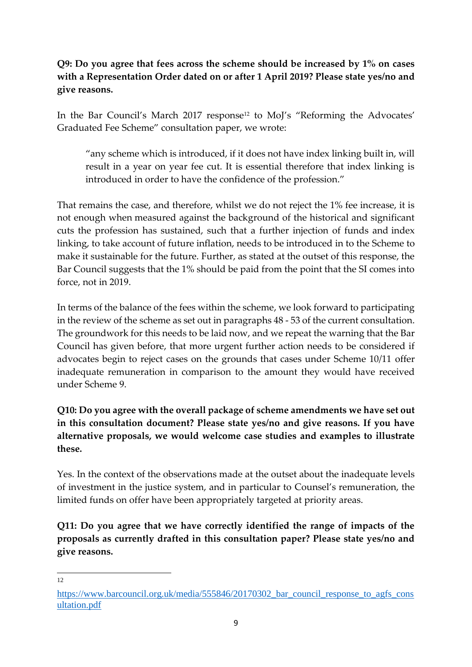**Q9: Do you agree that fees across the scheme should be increased by 1% on cases with a Representation Order dated on or after 1 April 2019? Please state yes/no and give reasons.**

In the Bar Council's March 2017 response<sup>12</sup> to MoJ's "Reforming the Advocates' Graduated Fee Scheme" consultation paper, we wrote:

"any scheme which is introduced, if it does not have index linking built in, will result in a year on year fee cut. It is essential therefore that index linking is introduced in order to have the confidence of the profession."

That remains the case, and therefore, whilst we do not reject the 1% fee increase, it is not enough when measured against the background of the historical and significant cuts the profession has sustained, such that a further injection of funds and index linking, to take account of future inflation, needs to be introduced in to the Scheme to make it sustainable for the future. Further, as stated at the outset of this response, the Bar Council suggests that the 1% should be paid from the point that the SI comes into force, not in 2019.

In terms of the balance of the fees within the scheme, we look forward to participating in the review of the scheme as set out in paragraphs 48 - 53 of the current consultation. The groundwork for this needs to be laid now, and we repeat the warning that the Bar Council has given before, that more urgent further action needs to be considered if advocates begin to reject cases on the grounds that cases under Scheme 10/11 offer inadequate remuneration in comparison to the amount they would have received under Scheme 9.

**Q10: Do you agree with the overall package of scheme amendments we have set out in this consultation document? Please state yes/no and give reasons. If you have alternative proposals, we would welcome case studies and examples to illustrate these.**

Yes. In the context of the observations made at the outset about the inadequate levels of investment in the justice system, and in particular to Counsel's remuneration, the limited funds on offer have been appropriately targeted at priority areas.

**Q11: Do you agree that we have correctly identified the range of impacts of the proposals as currently drafted in this consultation paper? Please state yes/no and give reasons.**

[https://www.barcouncil.org.uk/media/555846/20170302\\_bar\\_council\\_response\\_to\\_agfs\\_cons](https://www.barcouncil.org.uk/media/555846/20170302_bar_council_response_to_agfs_consultation.pdf) [ultation.pdf](https://www.barcouncil.org.uk/media/555846/20170302_bar_council_response_to_agfs_consultation.pdf)